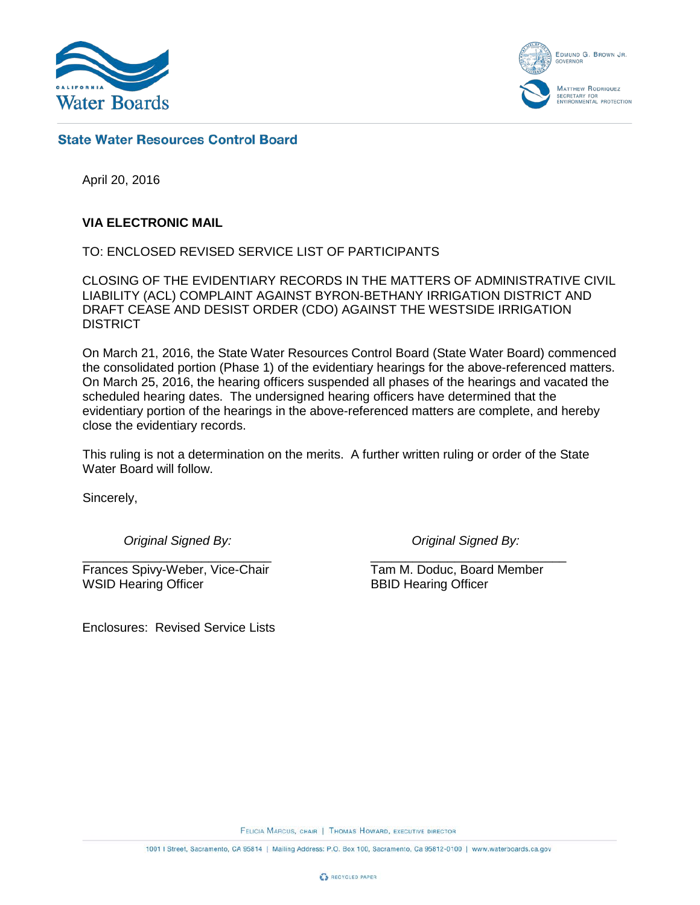

EDMUND G. BROWN JR. **GOVERNO MATTHEW RODRIQUEZ** ECRETARY FOR<br>NVIRONMENTAL PROTECTION

## **State Water Resources Control Board**

April 20, 2016

### **VIA ELECTRONIC MAIL**

TO: ENCLOSED REVISED SERVICE LIST OF PARTICIPANTS

CLOSING OF THE EVIDENTIARY RECORDS IN THE MATTERS OF ADMINISTRATIVE CIVIL LIABILITY (ACL) COMPLAINT AGAINST BYRON-BETHANY IRRIGATION DISTRICT AND DRAFT CEASE AND DESIST ORDER (CDO) AGAINST THE WESTSIDE IRRIGATION DISTRICT

On March 21, 2016, the State Water Resources Control Board (State Water Board) commenced the consolidated portion (Phase 1) of the evidentiary hearings for the above-referenced matters. On March 25, 2016, the hearing officers suspended all phases of the hearings and vacated the scheduled hearing dates. The undersigned hearing officers have determined that the evidentiary portion of the hearings in the above-referenced matters are complete, and hereby close the evidentiary records.

This ruling is not a determination on the merits. A further written ruling or order of the State Water Board will follow.

Sincerely,

*Original Signed By: Original Signed By:*

\_\_\_\_\_\_\_\_\_\_\_\_\_\_\_\_\_\_\_\_\_\_\_\_\_\_\_ \_\_\_\_\_\_\_\_\_\_\_\_\_\_\_\_\_\_\_\_\_\_\_\_\_\_\_\_ Frances Spivy-Weber, Vice-Chair Tam M. Doduc, Board Member<br>
WSID Hearing Officer SBID Hearing Officer WSID Hearing Officer

Enclosures: Revised Service Lists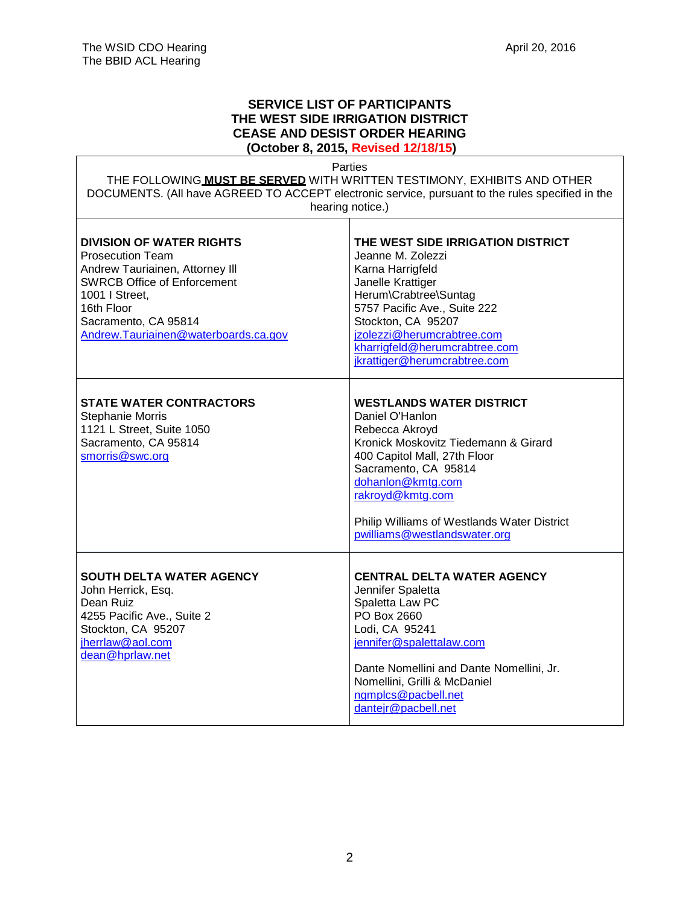#### **SERVICE LIST OF PARTICIPANTS THE WEST SIDE IRRIGATION DISTRICT CEASE AND DESIST ORDER HEARING (October 8, 2015, Revised 12/18/15)**

Parties

THE FOLLOWING **MUST BE SERVED** WITH WRITTEN TESTIMONY, EXHIBITS AND OTHER DOCUMENTS. (All have AGREED TO ACCEPT electronic service, pursuant to the rules specified in the hearing notice.)

 $\top$ 

| <b>DIVISION OF WATER RIGHTS</b><br><b>Prosecution Team</b><br>Andrew Tauriainen, Attorney III<br><b>SWRCB Office of Enforcement</b><br>1001   Street,<br>16th Floor<br>Sacramento, CA 95814<br>Andrew.Tauriainen@waterboards.ca.gov | THE WEST SIDE IRRIGATION DISTRICT<br>Jeanne M. Zolezzi<br>Karna Harrigfeld<br>Janelle Krattiger<br>Herum\Crabtree\Suntag<br>5757 Pacific Ave., Suite 222<br>Stockton, CA 95207<br>jzolezzi@herumcrabtree.com<br>kharrigfeld@herumcrabtree.com<br>jkrattiger@herumcrabtree.com                |
|-------------------------------------------------------------------------------------------------------------------------------------------------------------------------------------------------------------------------------------|----------------------------------------------------------------------------------------------------------------------------------------------------------------------------------------------------------------------------------------------------------------------------------------------|
| <b>STATE WATER CONTRACTORS</b><br><b>Stephanie Morris</b><br>1121 L Street, Suite 1050<br>Sacramento, CA 95814<br>smorris@swc.org                                                                                                   | <b>WESTLANDS WATER DISTRICT</b><br>Daniel O'Hanlon<br>Rebecca Akroyd<br>Kronick Moskovitz Tiedemann & Girard<br>400 Capitol Mall, 27th Floor<br>Sacramento, CA 95814<br>dohanlon@kmtg.com<br>rakroyd@kmtg.com<br>Philip Williams of Westlands Water District<br>pwilliams@westlandswater.org |
| SOUTH DELTA WATER AGENCY<br>John Herrick, Esq.<br>Dean Ruiz<br>4255 Pacific Ave., Suite 2<br>Stockton, CA 95207<br>jherrlaw@aol.com<br>dean@hprlaw.net                                                                              | <b>CENTRAL DELTA WATER AGENCY</b><br>Jennifer Spaletta<br>Spaletta Law PC<br>PO Box 2660<br>Lodi, CA 95241<br>jennifer@spalettalaw.com<br>Dante Nomellini and Dante Nomellini, Jr.<br>Nomellini, Grilli & McDaniel<br>ngmplcs@pacbell.net<br>dantejr@pacbell.net                             |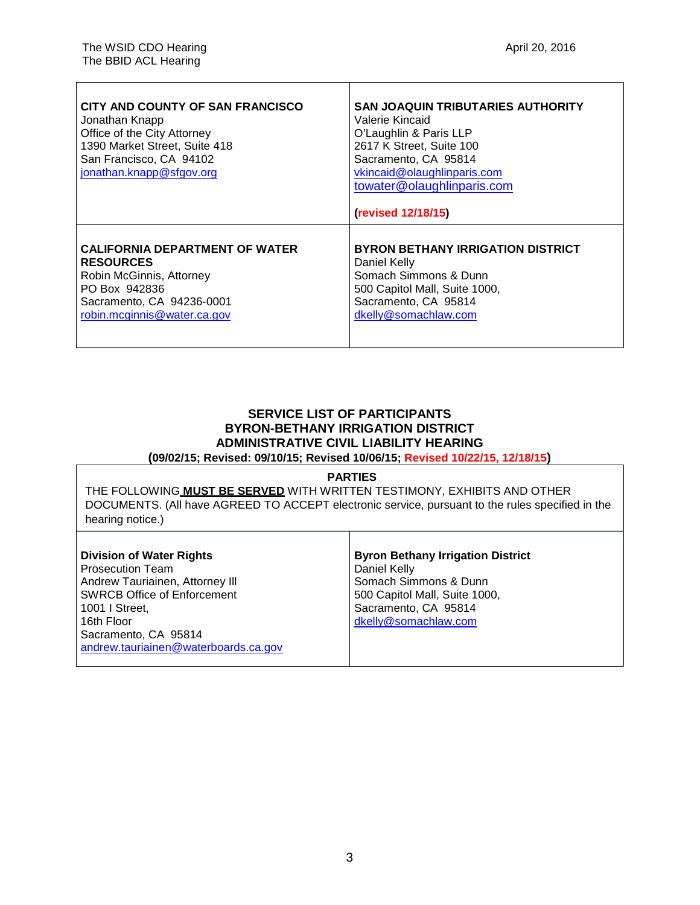| CITY AND COUNTY OF SAN FRANCISCO<br>Jonathan Knapp<br>Office of the City Attorney<br>1390 Market Street, Suite 418<br>San Francisco, CA 94102<br>jonathan.knapp@sfgov.org | SAN JOAQUIN TRIBUTARIES AUTHORITY<br>Valerie Kincaid<br>O'Laughlin & Paris LLP<br>2617 K Street, Suite 100<br>Sacramento, CA 95814<br>vkincaid@olaughlinparis.com<br>towater@olaughlinparis.com<br>(revised 12/18/15) |
|---------------------------------------------------------------------------------------------------------------------------------------------------------------------------|-----------------------------------------------------------------------------------------------------------------------------------------------------------------------------------------------------------------------|
| <b>CALIFORNIA DEPARTMENT OF WATER</b>                                                                                                                                     | <b>BYRON BETHANY IRRIGATION DISTRICT</b>                                                                                                                                                                              |
| <b>RESOURCES</b>                                                                                                                                                          | Daniel Kelly                                                                                                                                                                                                          |
| Robin McGinnis, Attorney                                                                                                                                                  | Somach Simmons & Dunn                                                                                                                                                                                                 |
| PO Box 942836                                                                                                                                                             | 500 Capitol Mall, Suite 1000,                                                                                                                                                                                         |
| Sacramento, CA 94236-0001                                                                                                                                                 | Sacramento, CA 95814                                                                                                                                                                                                  |
| robin.mcginnis@water.ca.gov                                                                                                                                               | dkelly@somachlaw.com                                                                                                                                                                                                  |

# **SERVICE LIST OF PARTICIPANTS BYRON-BETHANY IRRIGATION DISTRICT ADMINISTRATIVE CIVIL LIABILITY HEARING**

**(09/02/15; Revised: 09/10/15; Revised 10/06/15; Revised 10/22/15, 12/18/15)**

#### **PARTIES**

THE FOLLOWING **MUST BE SERVED** WITH WRITTEN TESTIMONY, EXHIBITS AND OTHER DOCUMENTS. (All have AGREED TO ACCEPT electronic service, pursuant to the rules specified in the hearing notice.)

Τ

| <b>Division of Water Rights</b>      | <b>Byron Bethany Irrigation District</b> |
|--------------------------------------|------------------------------------------|
| Prosecution Team                     | Daniel Kelly                             |
| Andrew Tauriainen, Attorney III      | Somach Simmons & Dunn                    |
| <b>SWRCB Office of Enforcement</b>   | 500 Capitol Mall, Suite 1000,            |
| l 1001 I Street.                     | Sacramento, CA 95814                     |
| l 16th Floor                         | dkelly@somachlaw.com                     |
| Sacramento, CA 95814                 |                                          |
| andrew.tauriainen@waterboards.ca.gov |                                          |
|                                      |                                          |